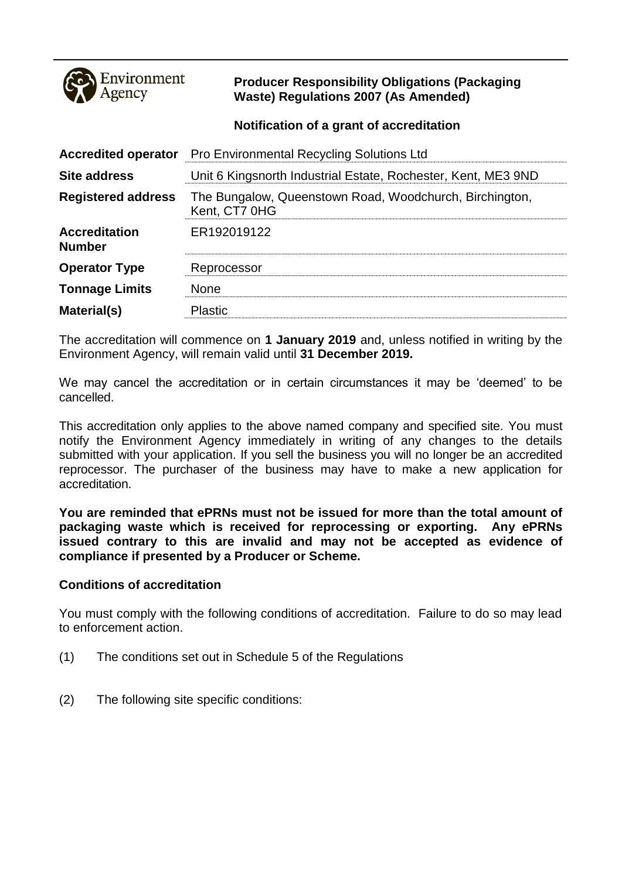

## **Producer Responsibility Obligations (Packaging Waste) Regulations 2007 (As Amended)**

## **Notification of a grant of accreditation**

| <b>Accredited operator</b>            | <b>Pro Environmental Recycling Solutions Ltd</b>                         |
|---------------------------------------|--------------------------------------------------------------------------|
| <b>Site address</b>                   | Unit 6 Kingsnorth Industrial Estate, Rochester, Kent, ME3 9ND            |
| <b>Registered address</b>             | The Bungalow, Queenstown Road, Woodchurch, Birchington,<br>Kent, CT7 0HG |
| <b>Accreditation</b><br><b>Number</b> | ER192019122                                                              |
| <b>Operator Type</b>                  | Reprocessor                                                              |
| <b>Tonnage Limits</b>                 | <b>None</b>                                                              |
| Material(s)                           | <b>Plastic</b>                                                           |

The accreditation will commence on **1 January 2019** and, unless notified in writing by the Environment Agency, will remain valid until **31 December 2019.**

We may cancel the accreditation or in certain circumstances it may be 'deemed' to be cancelled.

This accreditation only applies to the above named company and specified site. You must notify the Environment Agency immediately in writing of any changes to the details submitted with your application. If you sell the business you will no longer be an accredited reprocessor. The purchaser of the business may have to make a new application for accreditation.

**You are reminded that ePRNs must not be issued for more than the total amount of packaging waste which is received for reprocessing or exporting. Any ePRNs issued contrary to this are invalid and may not be accepted as evidence of compliance if presented by a Producer or Scheme.**

## **Conditions of accreditation**

You must comply with the following conditions of accreditation. Failure to do so may lead to enforcement action.

- (1) The conditions set out in Schedule 5 of the Regulations
- (2) The following site specific conditions: